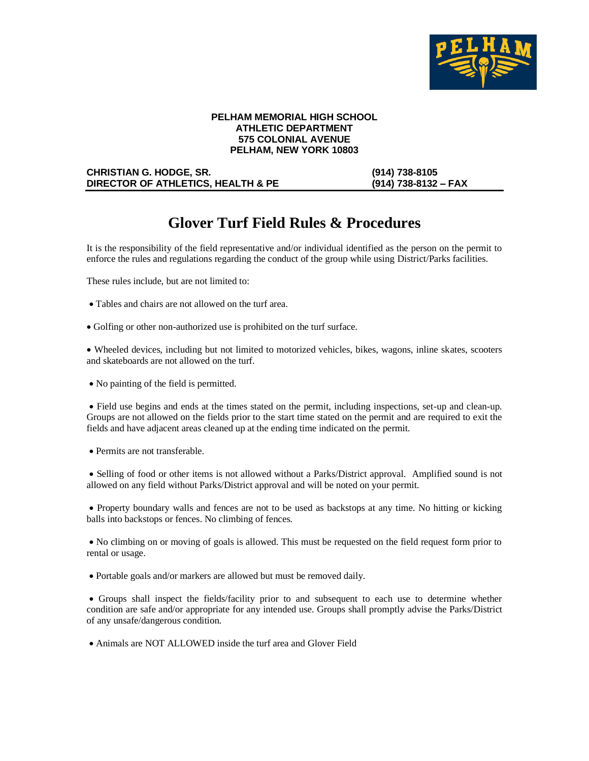

### **PELHAM MEMORIAL HIGH SCHOOL ATHLETIC DEPARTMENT 575 COLONIAL AVENUE PELHAM, NEW YORK 10803**

#### **CHRISTIAN G. HODGE, SR. (914) 738-8105 DIRECTOR OF ATHLETICS, HEALTH & PE (914) 738-8132 – FAX**

# **Glover Turf Field Rules & Procedures**

It is the responsibility of the field representative and/or individual identified as the person on the permit to enforce the rules and regulations regarding the conduct of the group while using District/Parks facilities.

These rules include, but are not limited to:

- Tables and chairs are not allowed on the turf area.
- Golfing or other non-authorized use is prohibited on the turf surface.

• Wheeled devices, including but not limited to motorized vehicles, bikes, wagons, inline skates, scooters and skateboards are not allowed on the turf.

• No painting of the field is permitted.

• Field use begins and ends at the times stated on the permit, including inspections, set-up and clean-up. Groups are not allowed on the fields prior to the start time stated on the permit and are required to exit the fields and have adjacent areas cleaned up at the ending time indicated on the permit.

• Permits are not transferable.

• Selling of food or other items is not allowed without a Parks/District approval. Amplified sound is not allowed on any field without Parks/District approval and will be noted on your permit.

• Property boundary walls and fences are not to be used as backstops at any time. No hitting or kicking balls into backstops or fences. No climbing of fences.

• No climbing on or moving of goals is allowed. This must be requested on the field request form prior to rental or usage.

• Portable goals and/or markers are allowed but must be removed daily.

• Groups shall inspect the fields/facility prior to and subsequent to each use to determine whether condition are safe and/or appropriate for any intended use. Groups shall promptly advise the Parks/District of any unsafe/dangerous condition.

• Animals are NOT ALLOWED inside the turf area and Glover Field